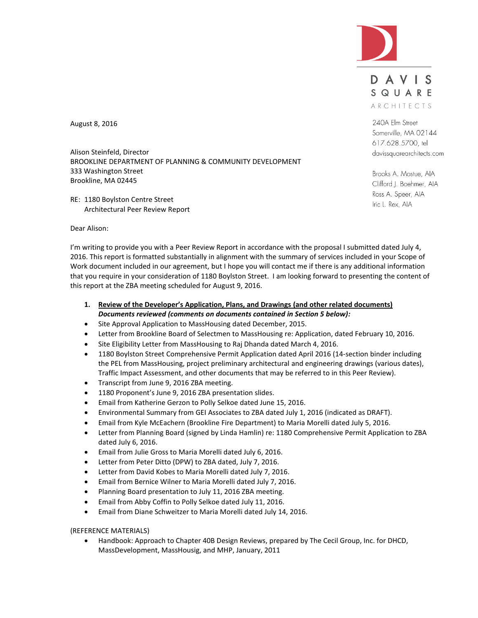

DAVIS SQUARE ARCHITECTS

240A Elm Street Somerville, MA 02144 617.628.5700, tel davissquarearchitects.com

Brooks A. Mostue, AIA Clifford J. Boehmer, AIA Ross A. Speer, AIA Iric L. Rex, AIA

August 8, 2016

Alison Steinfeld, Director BROOKLINE DEPARTMENT OF PLANNING & COMMUNITY DEVELOPMENT 333 Washington Street Brookline, MA 02445

RE: 1180 Boylston Centre Street Architectural Peer Review Report

Dear Alison:

I'm writing to provide you with a Peer Review Report in accordance with the proposal I submitted dated July 4, 2016. This report is formatted substantially in alignment with the summary of services included in your Scope of Work document included in our agreement, but I hope you will contact me if there is any additional information that you require in your consideration of 1180 Boylston Street. I am looking forward to presenting the content of this report at the ZBA meeting scheduled for August 9, 2016.

- **1. Review of the Developer's Application, Plans, and Drawings (and other related documents)** *Documents reviewed (comments on documents contained in Section 5 below):*
- Site Approval Application to MassHousing dated December, 2015.
- Letter from Brookline Board of Selectmen to MassHousing re: Application, dated February 10, 2016.
- Site Eligibility Letter from MassHousing to Raj Dhanda dated March 4, 2016.
- 1180 Boylston Street Comprehensive Permit Application dated April 2016 (14-section binder including the PEL from MassHousing, project preliminary architectural and engineering drawings (various dates), Traffic Impact Assessment, and other documents that may be referred to in this Peer Review).
- Transcript from June 9, 2016 ZBA meeting.
- 1180 Proponent's June 9, 2016 ZBA presentation slides.
- Email from Katherine Gerzon to Polly Selkoe dated June 15, 2016.
- Environmental Summary from GEI Associates to ZBA dated July 1, 2016 (indicated as DRAFT).
- Email from Kyle McEachern (Brookline Fire Department) to Maria Morelli dated July 5, 2016.
- Letter from Planning Board (signed by Linda Hamlin) re: 1180 Comprehensive Permit Application to ZBA dated July 6, 2016.
- Email from Julie Gross to Maria Morelli dated July 6, 2016.
- Letter from Peter Ditto (DPW) to ZBA dated, July 7, 2016.
- Letter from David Kobes to Maria Morelli dated July 7, 2016.
- Email from Bernice Wilner to Maria Morelli dated July 7, 2016.
- Planning Board presentation to July 11, 2016 ZBA meeting.
- Email from Abby Coffin to Polly Selkoe dated July 11, 2016.
- Email from Diane Schweitzer to Maria Morelli dated July 14, 2016.

(REFERENCE MATERIALS)

 Handbook: Approach to Chapter 40B Design Reviews, prepared by The Cecil Group, Inc. for DHCD, MassDevelopment, MassHousig, and MHP, January, 2011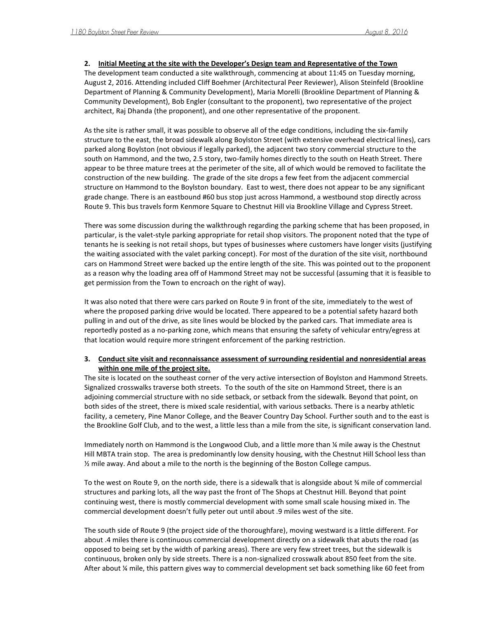#### **2. Initial Meeting at the site with the Developer's Design team and Representative of the Town**

The development team conducted a site walkthrough, commencing at about 11:45 on Tuesday morning, August 2, 2016. Attending included Cliff Boehmer (Architectural Peer Reviewer), Alison Steinfeld (Brookline Department of Planning & Community Development), Maria Morelli (Brookline Department of Planning & Community Development), Bob Engler (consultant to the proponent), two representative of the project architect, Raj Dhanda (the proponent), and one other representative of the proponent.

As the site is rather small, it was possible to observe all of the edge conditions, including the six-family structure to the east, the broad sidewalk along Boylston Street (with extensive overhead electrical lines), cars parked along Boylston (not obvious if legally parked), the adjacent two story commercial structure to the south on Hammond, and the two, 2.5 story, two-family homes directly to the south on Heath Street. There appear to be three mature trees at the perimeter of the site, all of which would be removed to facilitate the construction of the new building. The grade of the site drops a few feet from the adjacent commercial structure on Hammond to the Boylston boundary. East to west, there does not appear to be any significant grade change. There is an eastbound #60 bus stop just across Hammond, a westbound stop directly across Route 9. This bus travels form Kenmore Square to Chestnut Hill via Brookline Village and Cypress Street.

There was some discussion during the walkthrough regarding the parking scheme that has been proposed, in particular, is the valet-style parking appropriate for retail shop visitors. The proponent noted that the type of tenants he is seeking is not retail shops, but types of businesses where customers have longer visits (justifying the waiting associated with the valet parking concept). For most of the duration of the site visit, northbound cars on Hammond Street were backed up the entire length of the site. This was pointed out to the proponent as a reason why the loading area off of Hammond Street may not be successful (assuming that it is feasible to get permission from the Town to encroach on the right of way).

It was also noted that there were cars parked on Route 9 in front of the site, immediately to the west of where the proposed parking drive would be located. There appeared to be a potential safety hazard both pulling in and out of the drive, as site lines would be blocked by the parked cars. That immediate area is reportedly posted as a no-parking zone, which means that ensuring the safety of vehicular entry/egress at that location would require more stringent enforcement of the parking restriction.

#### **3. Conduct site visit and reconnaissance assessment of surrounding residential and nonresidential areas within one mile of the project site.**

The site is located on the southeast corner of the very active intersection of Boylston and Hammond Streets. Signalized crosswalks traverse both streets. To the south of the site on Hammond Street, there is an adjoining commercial structure with no side setback, or setback from the sidewalk. Beyond that point, on both sides of the street, there is mixed scale residential, with various setbacks. There is a nearby athletic facility, a cemetery, Pine Manor College, and the Beaver Country Day School. Further south and to the east is the Brookline Golf Club, and to the west, a little less than a mile from the site, is significant conservation land.

Immediately north on Hammond is the Longwood Club, and a little more than ¼ mile away is the Chestnut Hill MBTA train stop. The area is predominantly low density housing, with the Chestnut Hill School less than ½ mile away. And about a mile to the north is the beginning of the Boston College campus.

To the west on Route 9, on the north side, there is a sidewalk that is alongside about ¾ mile of commercial structures and parking lots, all the way past the front of The Shops at Chestnut Hill. Beyond that point continuing west, there is mostly commercial development with some small scale housing mixed in. The commercial development doesn't fully peter out until about .9 miles west of the site.

The south side of Route 9 (the project side of the thoroughfare), moving westward is a little different. For about .4 miles there is continuous commercial development directly on a sidewalk that abuts the road (as opposed to being set by the width of parking areas). There are very few street trees, but the sidewalk is continuous, broken only by side streets. There is a non-signalized crosswalk about 850 feet from the site. After about ¼ mile, this pattern gives way to commercial development set back something like 60 feet from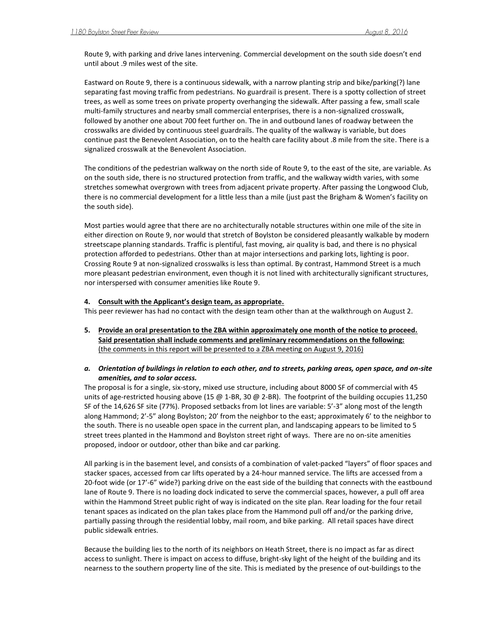Route 9, with parking and drive lanes intervening. Commercial development on the south side doesn't end until about .9 miles west of the site.

Eastward on Route 9, there is a continuous sidewalk, with a narrow planting strip and bike/parking(?) lane separating fast moving traffic from pedestrians. No guardrail is present. There is a spotty collection of street trees, as well as some trees on private property overhanging the sidewalk. After passing a few, small scale multi-family structures and nearby small commercial enterprises, there is a non-signalized crosswalk, followed by another one about 700 feet further on. The in and outbound lanes of roadway between the crosswalks are divided by continuous steel guardrails. The quality of the walkway is variable, but does continue past the Benevolent Association, on to the health care facility about .8 mile from the site. There is a signalized crosswalk at the Benevolent Association.

The conditions of the pedestrian walkway on the north side of Route 9, to the east of the site, are variable. As on the south side, there is no structured protection from traffic, and the walkway width varies, with some stretches somewhat overgrown with trees from adjacent private property. After passing the Longwood Club, there is no commercial development for a little less than a mile (just past the Brigham & Women's facility on the south side).

Most parties would agree that there are no architecturally notable structures within one mile of the site in either direction on Route 9, nor would that stretch of Boylston be considered pleasantly walkable by modern streetscape planning standards. Traffic is plentiful, fast moving, air quality is bad, and there is no physical protection afforded to pedestrians. Other than at major intersections and parking lots, lighting is poor. Crossing Route 9 at non-signalized crosswalks is less than optimal. By contrast, Hammond Street is a much more pleasant pedestrian environment, even though it is not lined with architecturally significant structures, nor interspersed with consumer amenities like Route 9.

#### **4. Consult with the Applicant's design team, as appropriate.**

This peer reviewer has had no contact with the design team other than at the walkthrough on August 2.

**5. Provide an oral presentation to the ZBA within approximately one month of the notice to proceed. Said presentation shall include comments and preliminary recommendations on the following:** (the comments in this report will be presented to a ZBA meeting on August 9, 2016)

## *a. Orientation of buildings in relation to each other, and to streets, parking areas, open space, and on-site amenities, and to solar access.*

The proposal is for a single, six-story, mixed use structure, including about 8000 SF of commercial with 45 units of age-restricted housing above (15 @ 1-BR, 30 @ 2-BR). The footprint of the building occupies 11,250 SF of the 14,626 SF site (77%). Proposed setbacks from lot lines are variable: 5'-3" along most of the length along Hammond; 2'-5" along Boylston; 20' from the neighbor to the east; approximately 6' to the neighbor to the south. There is no useable open space in the current plan, and landscaping appears to be limited to 5 street trees planted in the Hammond and Boylston street right of ways. There are no on-site amenities proposed, indoor or outdoor, other than bike and car parking.

All parking is in the basement level, and consists of a combination of valet-packed "layers" of floor spaces and stacker spaces, accessed from car lifts operated by a 24-hour manned service. The lifts are accessed from a 20-foot wide (or 17'-6" wide?) parking drive on the east side of the building that connects with the eastbound lane of Route 9. There is no loading dock indicated to serve the commercial spaces, however, a pull off area within the Hammond Street public right of way is indicated on the site plan. Rear loading for the four retail tenant spaces as indicated on the plan takes place from the Hammond pull off and/or the parking drive, partially passing through the residential lobby, mail room, and bike parking. All retail spaces have direct public sidewalk entries.

Because the building lies to the north of its neighbors on Heath Street, there is no impact as far as direct access to sunlight. There is impact on access to diffuse, bright-sky light of the height of the building and its nearness to the southern property line of the site. This is mediated by the presence of out-buildings to the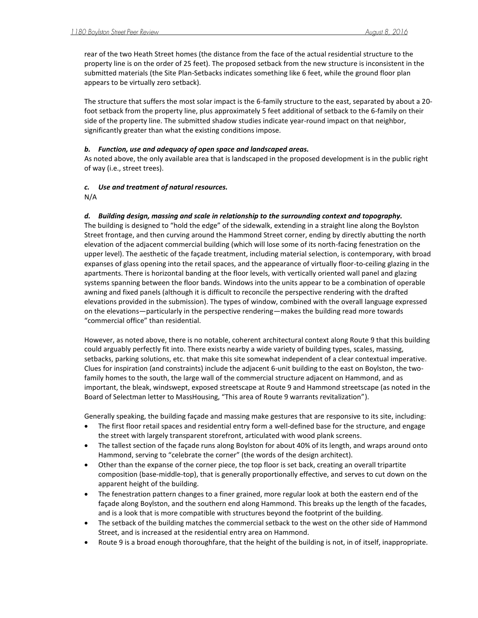rear of the two Heath Street homes (the distance from the face of the actual residential structure to the property line is on the order of 25 feet). The proposed setback from the new structure is inconsistent in the submitted materials (the Site Plan-Setbacks indicates something like 6 feet, while the ground floor plan appears to be virtually zero setback).

The structure that suffers the most solar impact is the 6-family structure to the east, separated by about a 20 foot setback from the property line, plus approximately 5 feet additional of setback to the 6-family on their side of the property line. The submitted shadow studies indicate year-round impact on that neighbor, significantly greater than what the existing conditions impose.

#### *b. Function, use and adequacy of open space and landscaped areas.*

As noted above, the only available area that is landscaped in the proposed development is in the public right of way (i.e., street trees).

## *c. Use and treatment of natural resources.*

N/A

## *d. Building design, massing and scale in relationship to the surrounding context and topography.*

The building is designed to "hold the edge" of the sidewalk, extending in a straight line along the Boylston Street frontage, and then curving around the Hammond Street corner, ending by directly abutting the north elevation of the adjacent commercial building (which will lose some of its north-facing fenestration on the upper level). The aesthetic of the façade treatment, including material selection, is contemporary, with broad expanses of glass opening into the retail spaces, and the appearance of virtually floor-to-ceiling glazing in the apartments. There is horizontal banding at the floor levels, with vertically oriented wall panel and glazing systems spanning between the floor bands. Windows into the units appear to be a combination of operable awning and fixed panels (although it is difficult to reconcile the perspective rendering with the drafted elevations provided in the submission). The types of window, combined with the overall language expressed on the elevations—particularly in the perspective rendering—makes the building read more towards "commercial office" than residential.

However, as noted above, there is no notable, coherent architectural context along Route 9 that this building could arguably perfectly fit into. There exists nearby a wide variety of building types, scales, massing, setbacks, parking solutions, etc. that make this site somewhat independent of a clear contextual imperative. Clues for inspiration (and constraints) include the adjacent 6-unit building to the east on Boylston, the twofamily homes to the south, the large wall of the commercial structure adjacent on Hammond, and as important, the bleak, windswept, exposed streetscape at Route 9 and Hammond streetscape (as noted in the Board of Selectman letter to MassHousing, "This area of Route 9 warrants revitalization").

Generally speaking, the building façade and massing make gestures that are responsive to its site, including:

- The first floor retail spaces and residential entry form a well-defined base for the structure, and engage the street with largely transparent storefront, articulated with wood plank screens.
- The tallest section of the façade runs along Boylston for about 40% of its length, and wraps around onto Hammond, serving to "celebrate the corner" (the words of the design architect).
- Other than the expanse of the corner piece, the top floor is set back, creating an overall tripartite composition (base-middle-top), that is generally proportionally effective, and serves to cut down on the apparent height of the building.
- The fenestration pattern changes to a finer grained, more regular look at both the eastern end of the façade along Boylston, and the southern end along Hammond. This breaks up the length of the facades, and is a look that is more compatible with structures beyond the footprint of the building.
- The setback of the building matches the commercial setback to the west on the other side of Hammond Street, and is increased at the residential entry area on Hammond.
- Route 9 is a broad enough thoroughfare, that the height of the building is not, in of itself, inappropriate.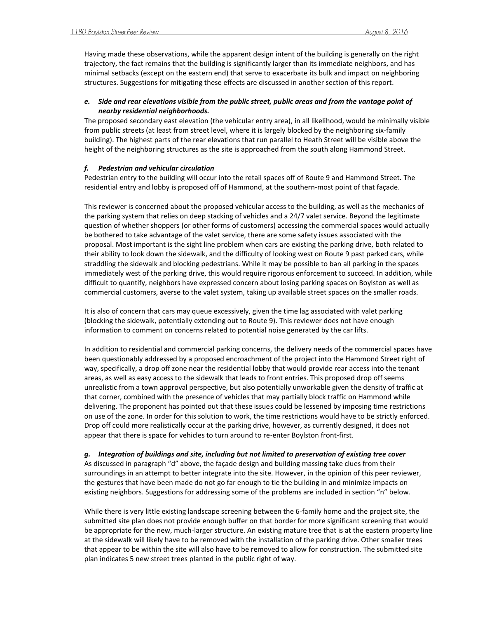Having made these observations, while the apparent design intent of the building is generally on the right trajectory, the fact remains that the building is significantly larger than its immediate neighbors, and has minimal setbacks (except on the eastern end) that serve to exacerbate its bulk and impact on neighboring structures. Suggestions for mitigating these effects are discussed in another section of this report.

## *e. Side and rear elevations visible from the public street, public areas and from the vantage point of nearby residential neighborhoods.*

The proposed secondary east elevation (the vehicular entry area), in all likelihood, would be minimally visible from public streets (at least from street level, where it is largely blocked by the neighboring six-family building). The highest parts of the rear elevations that run parallel to Heath Street will be visible above the height of the neighboring structures as the site is approached from the south along Hammond Street.

## *f. Pedestrian and vehicular circulation*

Pedestrian entry to the building will occur into the retail spaces off of Route 9 and Hammond Street. The residential entry and lobby is proposed off of Hammond, at the southern-most point of that façade.

This reviewer is concerned about the proposed vehicular access to the building, as well as the mechanics of the parking system that relies on deep stacking of vehicles and a 24/7 valet service. Beyond the legitimate question of whether shoppers (or other forms of customers) accessing the commercial spaces would actually be bothered to take advantage of the valet service, there are some safety issues associated with the proposal. Most important is the sight line problem when cars are existing the parking drive, both related to their ability to look down the sidewalk, and the difficulty of looking west on Route 9 past parked cars, while straddling the sidewalk and blocking pedestrians. While it may be possible to ban all parking in the spaces immediately west of the parking drive, this would require rigorous enforcement to succeed. In addition, while difficult to quantify, neighbors have expressed concern about losing parking spaces on Boylston as well as commercial customers, averse to the valet system, taking up available street spaces on the smaller roads.

It is also of concern that cars may queue excessively, given the time lag associated with valet parking (blocking the sidewalk, potentially extending out to Route 9). This reviewer does not have enough information to comment on concerns related to potential noise generated by the car lifts.

In addition to residential and commercial parking concerns, the delivery needs of the commercial spaces have been questionably addressed by a proposed encroachment of the project into the Hammond Street right of way, specifically, a drop off zone near the residential lobby that would provide rear access into the tenant areas, as well as easy access to the sidewalk that leads to front entries. This proposed drop off seems unrealistic from a town approval perspective, but also potentially unworkable given the density of traffic at that corner, combined with the presence of vehicles that may partially block traffic on Hammond while delivering. The proponent has pointed out that these issues could be lessened by imposing time restrictions on use of the zone. In order for this solution to work, the time restrictions would have to be strictly enforced. Drop off could more realistically occur at the parking drive, however, as currently designed, it does not appear that there is space for vehicles to turn around to re-enter Boylston front-first.

*g. Integration of buildings and site, including but not limited to preservation of existing tree cover* As discussed in paragraph "d" above, the façade design and building massing take clues from their surroundings in an attempt to better integrate into the site. However, in the opinion of this peer reviewer, the gestures that have been made do not go far enough to tie the building in and minimize impacts on existing neighbors. Suggestions for addressing some of the problems are included in section "n" below.

While there is very little existing landscape screening between the 6-family home and the project site, the submitted site plan does not provide enough buffer on that border for more significant screening that would be appropriate for the new, much-larger structure. An existing mature tree that is at the eastern property line at the sidewalk will likely have to be removed with the installation of the parking drive. Other smaller trees that appear to be within the site will also have to be removed to allow for construction. The submitted site plan indicates 5 new street trees planted in the public right of way.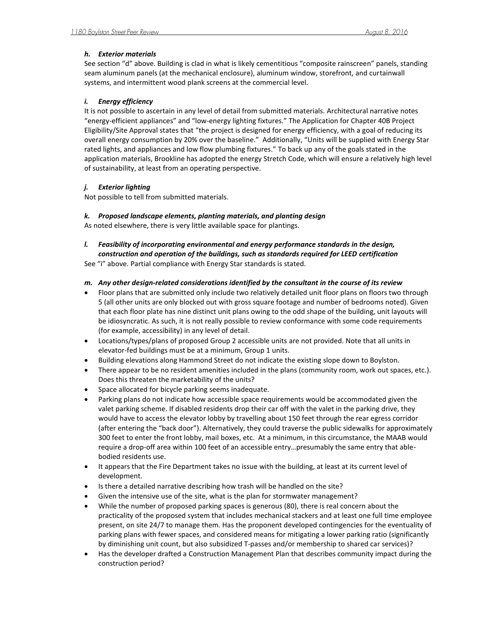## *h. Exterior materials*

See section "d" above. Building is clad in what is likely cementitious "composite rainscreen" panels, standing seam aluminum panels (at the mechanical enclosure), aluminum window, storefront, and curtainwall systems, and intermittent wood plank screens at the commercial level.

## *i. Energy efficiency*

It is not possible to ascertain in any level of detail from submitted materials. Architectural narrative notes "energy-efficient appliances" and "low-energy lighting fixtures." The Application for Chapter 40B Project Eligibility/Site Approval states that "the project is designed for energy efficiency, with a goal of reducing its overall energy consumption by 20% over the baseline." Additionally, "Units will be supplied with Energy Star rated lights, and appliances and low flow plumbing fixtures." To back up any of the goals stated in the application materials, Brookline has adopted the energy Stretch Code, which will ensure a relatively high level of sustainability, at least from an operating perspective.

## *j. Exterior lighting*

Not possible to tell from submitted materials.

## *k. Proposed landscape elements, planting materials, and planting design*

As noted elsewhere, there is very little available space for plantings.

*l. Feasibility of incorporating environmental and energy performance standards in the design, construction and operation of the buildings, such as standards required for LEED certification*

See "i" above. Partial compliance with Energy Star standards is stated.

# *m. Any other design-related considerations identified by the consultant in the course of its review*

- Floor plans that are submitted only include two relatively detailed unit floor plans on floors two through 5 (all other units are only blocked out with gross square footage and number of bedrooms noted). Given that each floor plate has nine distinct unit plans owing to the odd shape of the building, unit layouts will be idiosyncratic. As such, it is not really possible to review conformance with some code requirements (for example, accessibility) in any level of detail.
- Locations/types/plans of proposed Group 2 accessible units are not provided. Note that all units in elevator-fed buildings must be at a minimum, Group 1 units.
- Building elevations along Hammond Street do not indicate the existing slope down to Boylston.
- There appear to be no resident amenities included in the plans (community room, work out spaces, etc.). Does this threaten the marketability of the units?
- Space allocated for bicycle parking seems inadequate.
- Parking plans do not indicate how accessible space requirements would be accommodated given the valet parking scheme. If disabled residents drop their car off with the valet in the parking drive, they would have to access the elevator lobby by travelling about 150 feet through the rear egress corridor (after entering the "back door"). Alternatively, they could traverse the public sidewalks for approximately 300 feet to enter the front lobby, mail boxes, etc. At a minimum, in this circumstance, the MAAB would require a drop-off area within 100 feet of an accessible entry…presumably the same entry that ablebodied residents use.
- It appears that the Fire Department takes no issue with the building, at least at its current level of development.
- Is there a detailed narrative describing how trash will be handled on the site?
- Given the intensive use of the site, what is the plan for stormwater management?
- While the number of proposed parking spaces is generous (80), there is real concern about the practicality of the proposed system that includes mechanical stackers and at least one full time employee present, on site 24/7 to manage them. Has the proponent developed contingencies for the eventuality of parking plans with fewer spaces, and considered means for mitigating a lower parking ratio (significantly by diminishing unit count, but also subsidized T-passes and/or membership to shared car services)?
- Has the developer drafted a Construction Management Plan that describes community impact during the construction period?